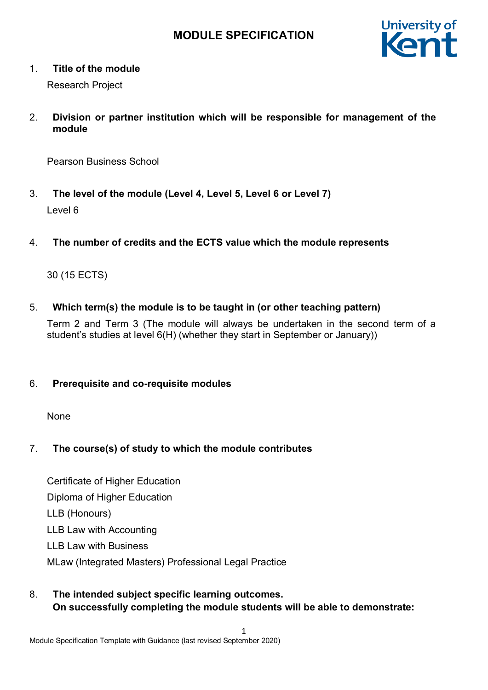

# 1. **Title of the module**

Research Project

2. **Division or partner institution which will be responsible for management of the module**

Pearson Business School

- 3. **The level of the module (Level 4, Level 5, Level 6 or Level 7)** Level 6
- 4. **The number of credits and the ECTS value which the module represents**

# 30 (15 ECTS)

5. **Which term(s) the module is to be taught in (or other teaching pattern)**

Term 2 and Term 3 (The module will always be undertaken in the second term of a student's studies at level 6(H) (whether they start in September or January))

# 6. **Prerequisite and co-requisite modules**

None

# 7. **The course(s) of study to which the module contributes**

Certificate of Higher Education Diploma of Higher Education LLB (Honours) LLB Law with Accounting LLB Law with Business MLaw (Integrated Masters) Professional Legal Practice

8. **The intended subject specific learning outcomes. On successfully completing the module students will be able to demonstrate:** 

1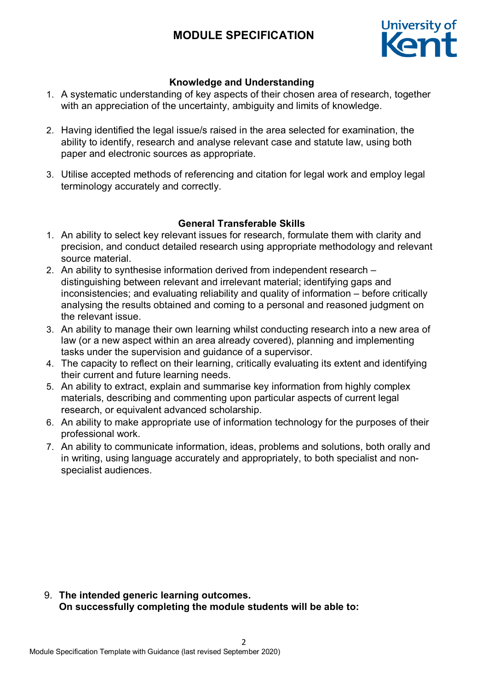

## **Knowledge and Understanding**

- 1. A systematic understanding of key aspects of their chosen area of research, together with an appreciation of the uncertainty, ambiguity and limits of knowledge.
- 2. Having identified the legal issue/s raised in the area selected for examination, the ability to identify, research and analyse relevant case and statute law, using both paper and electronic sources as appropriate.
- 3. Utilise accepted methods of referencing and citation for legal work and employ legal terminology accurately and correctly.

### **General Transferable Skills**

- 1. An ability to select key relevant issues for research, formulate them with clarity and precision, and conduct detailed research using appropriate methodology and relevant source material.
- 2. An ability to synthesise information derived from independent research distinguishing between relevant and irrelevant material; identifying gaps and inconsistencies; and evaluating reliability and quality of information – before critically analysing the results obtained and coming to a personal and reasoned judgment on the relevant issue.
- 3. An ability to manage their own learning whilst conducting research into a new area of law (or a new aspect within an area already covered), planning and implementing tasks under the supervision and guidance of a supervisor.
- 4. The capacity to reflect on their learning, critically evaluating its extent and identifying their current and future learning needs.
- 5. An ability to extract, explain and summarise key information from highly complex materials, describing and commenting upon particular aspects of current legal research, or equivalent advanced scholarship.
- 6. An ability to make appropriate use of information technology for the purposes of their professional work.
- 7. An ability to communicate information, ideas, problems and solutions, both orally and in writing, using language accurately and appropriately, to both specialist and nonspecialist audiences.

9. **The intended generic learning outcomes. On successfully completing the module students will be able to:**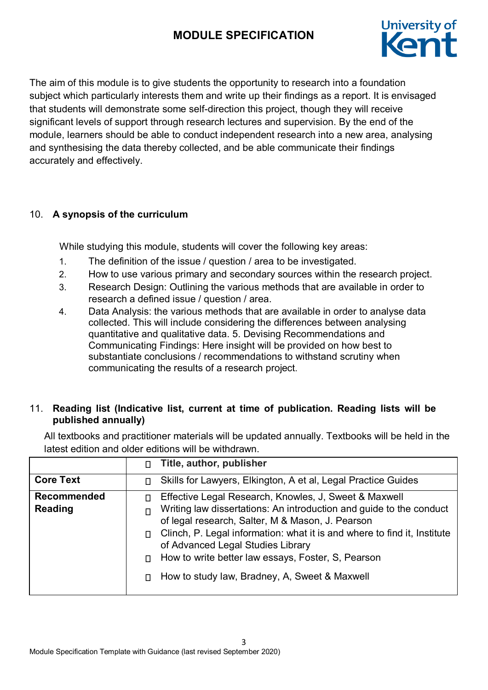

The aim of this module is to give students the opportunity to research into a foundation subject which particularly interests them and write up their findings as a report. It is envisaged that students will demonstrate some self-direction this project, though they will receive significant levels of support through research lectures and supervision. By the end of the module, learners should be able to conduct independent research into a new area, analysing and synthesising the data thereby collected, and be able communicate their findings accurately and effectively.

# 10. **A synopsis of the curriculum**

While studying this module, students will cover the following key areas:

- 1. The definition of the issue / question / area to be investigated.
- 2. How to use various primary and secondary sources within the research project.
- 3. Research Design: Outlining the various methods that are available in order to research a defined issue / question / area.
- 4. Data Analysis: the various methods that are available in order to analyse data collected. This will include considering the differences between analysing quantitative and qualitative data. 5. Devising Recommendations and Communicating Findings: Here insight will be provided on how best to substantiate conclusions / recommendations to withstand scrutiny when communicating the results of a research project.

# 11. **Reading list (Indicative list, current at time of publication. Reading lists will be published annually)**

All textbooks and practitioner materials will be updated annually. Textbooks will be held in the latest edition and older editions will be withdrawn.

|                                      | п | Title, author, publisher                                                                                                                                                                                                                                                                                                                                                                                 |
|--------------------------------------|---|----------------------------------------------------------------------------------------------------------------------------------------------------------------------------------------------------------------------------------------------------------------------------------------------------------------------------------------------------------------------------------------------------------|
| <b>Core Text</b>                     | п | Skills for Lawyers, Elkington, A et al, Legal Practice Guides                                                                                                                                                                                                                                                                                                                                            |
| <b>Recommended</b><br><b>Reading</b> | п | Effective Legal Research, Knowles, J, Sweet & Maxwell<br>Writing law dissertations: An introduction and guide to the conduct<br>of legal research, Salter, M & Mason, J. Pearson<br>Clinch, P. Legal information: what it is and where to find it, Institute<br>of Advanced Legal Studies Library<br>How to write better law essays, Foster, S, Pearson<br>How to study law, Bradney, A, Sweet & Maxwell |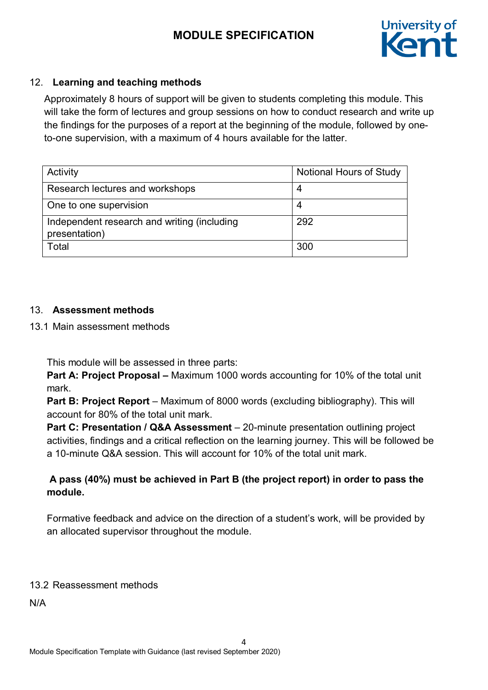

# 12. **Learning and teaching methods**

Approximately 8 hours of support will be given to students completing this module. This will take the form of lectures and group sessions on how to conduct research and write up the findings for the purposes of a report at the beginning of the module, followed by oneto-one supervision, with a maximum of 4 hours available for the latter.

| Activity                                                     | <b>Notional Hours of Study</b> |
|--------------------------------------------------------------|--------------------------------|
| Research lectures and workshops                              | 4                              |
| One to one supervision                                       | 4                              |
| Independent research and writing (including<br>presentation) | 292                            |
| Total                                                        | 300                            |

### 13. **Assessment methods**

13.1 Main assessment methods

This module will be assessed in three parts:

**Part A: Project Proposal –** Maximum 1000 words accounting for 10% of the total unit mark.

**Part B: Project Report** – Maximum of 8000 words (excluding bibliography). This will account for 80% of the total unit mark.

**Part C: Presentation / Q&A Assessment** – 20-minute presentation outlining project activities, findings and a critical reflection on the learning journey. This will be followed be a 10-minute Q&A session. This will account for 10% of the total unit mark.

# **A pass (40%) must be achieved in Part B (the project report) in order to pass the module.**

Formative feedback and advice on the direction of a student's work, will be provided by an allocated supervisor throughout the module.

# 13.2 Reassessment methods

N/A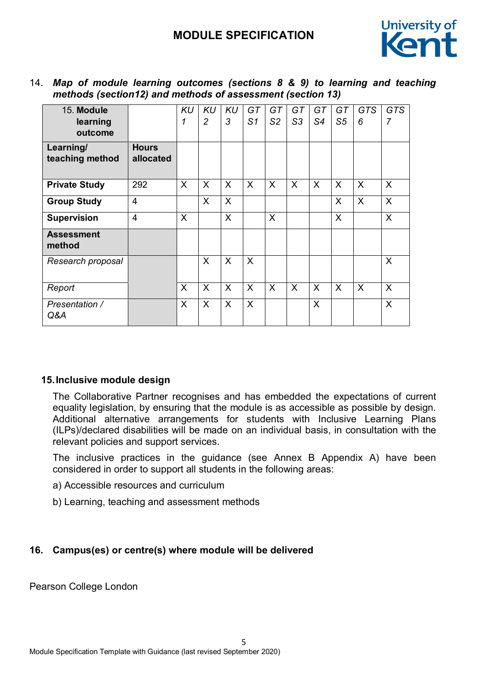

| 14. Map of module learning outcomes (sections 8 & 9) to learning and teaching |                                                 |  |  |  |  |  |
|-------------------------------------------------------------------------------|-------------------------------------------------|--|--|--|--|--|
| methods (section12) and methods of assessment (section 13)                    |                                                 |  |  |  |  |  |
|                                                                               | المستمر المستمر السناسا المستنقص المستنب الرزرز |  |  |  |  |  |

| 15. Module<br>learning<br>outcome |                           | KU<br>1 | KU<br>$\overline{c}$ | KU<br>3      | GT<br>S <sub>1</sub> | GT<br>S <sub>2</sub> | GT<br>S <sub>3</sub> | GT<br>S4     | GT<br>S5 | <b>GTS</b><br>6 | <b>GTS</b><br>$\overline{7}$ |
|-----------------------------------|---------------------------|---------|----------------------|--------------|----------------------|----------------------|----------------------|--------------|----------|-----------------|------------------------------|
| Learning/<br>teaching method      | <b>Hours</b><br>allocated |         |                      |              |                      |                      |                      |              |          |                 |                              |
| <b>Private Study</b>              | 292                       | X       | X                    | X            | X                    | X                    | X                    | X            | X        | X               | $\sf X$                      |
| <b>Group Study</b>                | $\overline{4}$            |         | $\mathsf{X}$         | $\mathsf{X}$ |                      |                      |                      |              | X        | X               | $\sf X$                      |
| <b>Supervision</b>                | $\overline{4}$            | X       |                      | $\mathsf{X}$ |                      | X                    |                      |              | X        |                 | X                            |
| <b>Assessment</b><br>method       |                           |         |                      |              |                      |                      |                      |              |          |                 |                              |
| Research proposal                 |                           |         | $\mathsf{X}$         | X            | X                    |                      |                      |              |          |                 | $\sf X$                      |
| Report                            |                           | X       | X                    | X            | X                    | X                    | X                    | X            | X        | X               | $\sf X$                      |
| Presentation /<br>Q&A             |                           | X       | X                    | X            | X                    |                      |                      | $\mathsf{X}$ |          |                 | $\sf X$                      |

### **15.Inclusive module design**

The Collaborative Partner recognises and has embedded the expectations of current equality legislation, by ensuring that the module is as accessible as possible by design. Additional alternative arrangements for students with Inclusive Learning Plans (ILPs)/declared disabilities will be made on an individual basis, in consultation with the relevant policies and support services.

The inclusive practices in the guidance (see Annex B Appendix A) have been considered in order to support all students in the following areas:

- a) Accessible resources and curriculum
- b) Learning, teaching and assessment methods

#### **16. Campus(es) or centre(s) where module will be delivered**

Pearson College London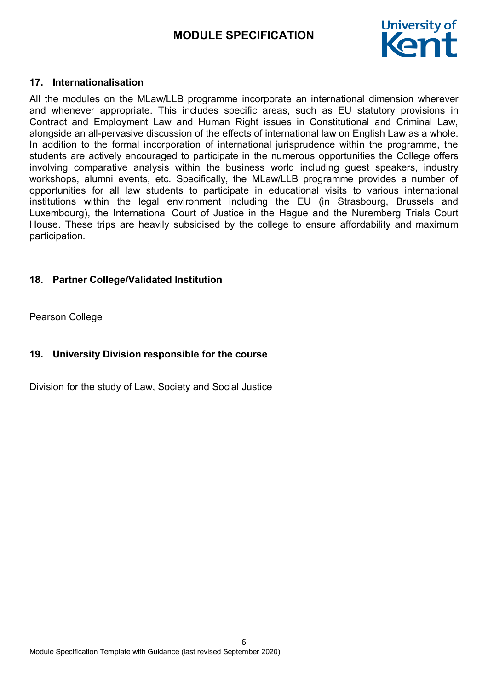

#### **17. Internationalisation**

All the modules on the MLaw/LLB programme incorporate an international dimension wherever and whenever appropriate. This includes specific areas, such as EU statutory provisions in Contract and Employment Law and Human Right issues in Constitutional and Criminal Law, alongside an all-pervasive discussion of the effects of international law on English Law as a whole. In addition to the formal incorporation of international jurisprudence within the programme, the students are actively encouraged to participate in the numerous opportunities the College offers involving comparative analysis within the business world including guest speakers, industry workshops, alumni events, etc. Specifically, the MLaw/LLB programme provides a number of opportunities for all law students to participate in educational visits to various international institutions within the legal environment including the EU (in Strasbourg, Brussels and Luxembourg), the International Court of Justice in the Hague and the Nuremberg Trials Court House. These trips are heavily subsidised by the college to ensure affordability and maximum participation.

#### **18. Partner College/Validated Institution**

Pearson College

### **19. University Division responsible for the course**

Division for the study of Law, Society and Social Justice